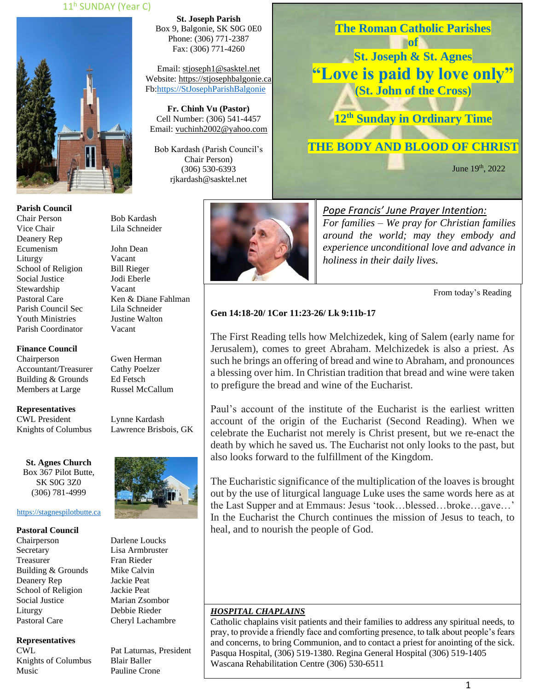### 11<sup>h</sup> SUNDAY (Year C)



**Parish Council** Chair Person Bob Kardash Vice Chair Lila Schneider Deanery Rep Ecumenism John Dean Liturgy Vacant School of Religion Bill Rieger Social Justice Jodi Eberle Stewardship Vacant Pastoral Care Ken & Diane Fahlman Parish Council Sec Lila Schneider Youth Ministries Justine Walton Parish Coordinator Vacant

**Finance Council**

Chairperson Gwen Herman Accountant/Treasurer Cathy Poelzer<br>Building & Grounds Ed Fetsch Building & Grounds Members at Large Russel McCallum

**Representatives** CWL President Lynne Kardash

Knights of Columbus Lawrence Brisbois, GK

**St. Agnes Church** Box 367 Pilot Butte, SK S0G 3Z0 (306) 781-4999

### [https://stagnespilotbutte.ca](https://stagnespilotbutte.ca/)

#### **Pastoral Council**

Chairperson Darlene Loucks Secretary Lisa Armbruster Treasurer Fran Rieder Building & Grounds Mike Calvin Deanery Rep Jackie Peat School of Religion Jackie Peat Social Justice Marian Zsombor Liturgy Debbie Rieder Pastoral Care Cheryl Lachambre

### **Representatives**

Knights of Columbus Blair Baller Music Pauline Crone

**St. Joseph Parish** Box 9, Balgonie, SK S0G 0E0 Phone: (306) 771-2387 Fax: (306) 771-4260

Email: [stjoseph1@sasktel.net](mailto:stjoseph1@sasktel.net) Website: [https://stjosephbalgonie.ca](https://stjosephbalgonie.ca/) Fb[:https://StJosephParishBalgonie](https://stjosephparishbalgonie/)

**Fr. Chinh Vu (Pastor)** Cell Number: (306) 541-4457 Email: [vuchinh2002@yahoo.com](mailto:vuchinh2002@yahoo.com)

Bob Kardash (Parish Council's Chair Person) (306) 530-6393 rjkardash@sasktel.net



**The Roman Catholic Parishes of** 

**St. Joseph & St. Agnes "Love is paid by love only" (St. John of the Cross)**

**12 th Sunday in Ordinary Time**

# **THE BODY AND BLOOD OF CHRIST**

**June 19th**, 2022

*Pope Francis' June Prayer Intention: For families – We pray for Christian families around the world; may they embody and experience unconditional love and advance in holiness in their daily lives.* 

From today's Reading

### **Gen 14:18-20/ 1Cor 11:23-26/ Lk 9:11b-17**

The First Reading tells how Melchizedek, king of Salem (early name for Jerusalem), comes to greet Abraham. Melchizedek is also a priest. As such he brings an offering of bread and wine to Abraham, and pronounces a blessing over him. In Christian tradition that bread and wine were taken to prefigure the bread and wine of the Eucharist.

Paul's account of the institute of the Eucharist is the earliest written account of the origin of the Eucharist (Second Reading). When we celebrate the Eucharist not merely is Christ present, but we re-enact the death by which he saved us. The Eucharist not only looks to the past, but also looks forward to the fulfillment of the Kingdom.

The Eucharistic significance of the multiplication of the loaves is brought out by the use of liturgical language Luke uses the same words here as at the Last Supper and at Emmaus: Jesus 'took…blessed…broke…gave…' In the Eucharist the Church continues the mission of Jesus to teach, to heal, and to nourish the people of God.

#### *HOSPITAL CHAPLAINS*

Catholic chaplains visit patients and their families to address any spiritual needs, to pray, to provide a friendly face and comforting presence, to talk about people's fears and concerns, to bring Communion, and to contact a priest for anointing of the sick. Pasqua Hospital, (306) 519-1380. Regina General Hospital (306) 519-1405 Wascana Rehabilitation Centre (306) 530-6511



CWL Pat Laturnas, President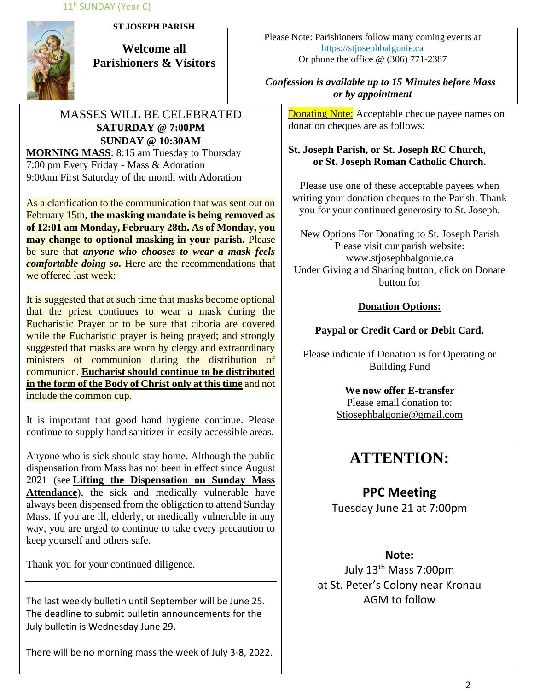11<sup>h</sup> SUNDAY (Year C)



**ST JOSEPH PARISH**

**Welcome all Parishioners & Visitors**

## MASSES WILL BE CELEBRATED **SATURDAY @ 7:00PM SUNDAY @ 10:30AM MORNING MASS**: 8:15 am Tuesday to Thursday

7:00 pm Every Friday - Mass & Adoration 9:00am First Saturday of the month with Adoration

As a clarification to the communication that was sent out on February 15th, **the masking mandate is being removed as of 12:01 am Monday, February 28th. As of Monday, you may change to optional masking in your parish.** Please be sure that *anyone who chooses to wear a mask feels comfortable doing so.* Here are the recommendations that we offered last week:

It is suggested that at such time that masks become optional that the priest continues to wear a mask during the Eucharistic Prayer or to be sure that ciboria are covered while the Eucharistic prayer is being prayed; and strongly suggested that masks are worn by clergy and extraordinary ministers of communion during the distribution of communion. **Eucharist should continue to be distributed in the form of the Body of Christ only at this time** and not include the common cup.

It is important that good hand hygiene continue. Please continue to supply hand sanitizer in easily accessible areas.

Anyone who is sick should stay home. Although the public dispensation from Mass has not been in effect since August 2021 (see **[Lifting the Dispensation on Sunday Mass](https://email-mg.flocknote.com/c/eJwVTruOwyAQ_Bq7M1oDxjQU1-Q_NgvEnAlE3j2d8vch0mhezUwM-2r0bucSNOgv7OoBtFcxGmOc9saCd3CnyUKunc7WJSnqz_kItMNqKW9g3ZYpk8ukacvGgbcR9TbXcIi8eDI_k74N4EXHlR6loeJTEY6qpX8eMpbXIeAHma-rJUtpjyUWfqXGKKW3hf9axPfyROYFRdJIjdJ8BRb12-9Yx0lGPiVV1ZJ8AD2CREI)  [Attendance](https://email-mg.flocknote.com/c/eJwVTruOwyAQ_Bq7M1oDxjQU1-Q_NgvEnAlE3j2d8vch0mhezUwM-2r0bucSNOgv7OoBtFcxGmOc9saCd3CnyUKunc7WJSnqz_kItMNqKW9g3ZYpk8ukacvGgbcR9TbXcIi8eDI_k74N4EXHlR6loeJTEY6qpX8eMpbXIeAHma-rJUtpjyUWfqXGKKW3hf9axPfyROYFRdJIjdJ8BRb12-9Yx0lGPiVV1ZJ8AD2CREI)**), the sick and medically vulnerable have always been dispensed from the obligation to attend Sunday Mass. If you are ill, elderly, or medically vulnerable in any way, you are urged to continue to take every precaution to keep yourself and others safe.

Thank you for your continued diligence.

The last weekly bulletin until September will be June 25. The deadline to submit bulletin announcements for the July bulletin is Wednesday June 29.

There will be no morning mass the week of July 3-8, 2022.

Please Note: Parishioners follow many coming events at [https://stjosephbalgonie.ca](https://stjosephbalgonie.ca/) Or phone the office @ (306) 771-2387

## *Confession is available up to 15 Minutes before Mass or by appointment*

**Donating Note:** Acceptable cheque payee names on donation cheques are as follows:

## **St. Joseph Parish, or St. Joseph RC Church, or St. Joseph Roman Catholic Church.**

Please use one of these acceptable payees when writing your donation cheques to the Parish. Thank you for your continued generosity to St. Joseph.

New Options For Donating to St. Joseph Parish Please visit our parish website: [www.stjosephbalgonie.ca](http://www.stjosephbalgonie.ca/) Under Giving and Sharing button, click on Donate button for

## **Donation Options:**

# **Paypal or Credit Card or Debit Card.**

Please indicate if Donation is for Operating or Building Fund

> **We now offer E-transfer** Please email donation to: [Stjosephbalgonie@gmail.com](mailto:Stjosephbalgonie@gmail.com)

# **ATTENTION:**

# **PPC Meeting**

Tuesday June 21 at 7:00pm

# **Note:**

July 13th Mass 7:00pm at St. Peter's Colony near Kronau AGM to follow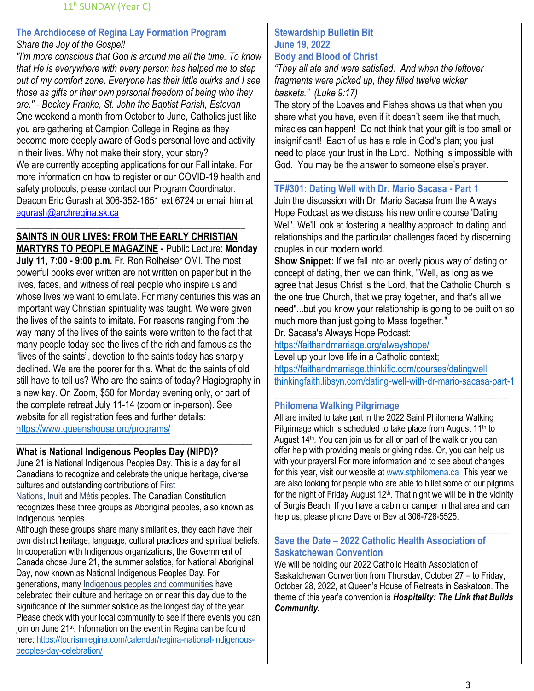## **The Archdiocese of Regina Lay Formation Program** *Share the Joy of the Gospel!*

*"I'm more conscious that God is around me all the time. To know that He is everywhere with every person has helped me to step out of my comfort zone. Everyone has their little quirks and I see those as gifts or their own personal freedom of being who they are." - Beckey Franke, St. John the Baptist Parish, Estevan* One weekend a month from October to June, Catholics just like you are gathering at Campion College in Regina as they become more deeply aware of God's personal love and activity in their lives. Why not make their story, your story? We are currently accepting applications for our Fall intake. For more information on how to register or our COVID-19 health and safety protocols, please contact our Program Coordinator, Deacon Eric Gurash at 306-352-1651 ext 6724 or email him at [egurash@archregina.sk.ca](mailto:egurash@archregina.sk.ca)

# \_\_\_\_\_\_\_\_\_\_\_\_\_\_\_\_\_\_\_\_\_\_\_\_\_\_\_\_\_\_\_\_\_\_\_\_\_\_\_\_\_\_\_\_\_\_\_\_ **SAINTS IN OUR LIVES: FROM THE EARLY CHRISTIAN**

**MARTYRS TO PEOPLE MAGAZINE -** Public Lecture: **Monday July 11, 7:00 - 9:00 p.m.** Fr. Ron Rolheiser OMI. The most powerful books ever written are not written on paper but in the lives, faces, and witness of real people who inspire us and whose lives we want to emulate. For many centuries this was an important way Christian spirituality was taught. We were given the lives of the saints to imitate. For reasons ranging from the way many of the lives of the saints were written to the fact that many people today see the lives of the rich and famous as the "lives of the saints", devotion to the saints today has sharply declined. We are the poorer for this. What do the saints of old still have to tell us? Who are the saints of today? Hagiography in a new key. On Zoom, \$50 for Monday evening only, or part of the complete retreat July 11-14 (zoom or in-person). See website for all registration fees and further details: <https://www.queenshouse.org/programs/>

### \_\_\_\_\_\_\_\_\_\_\_\_\_\_\_\_\_\_\_\_\_\_\_\_\_\_\_\_\_\_\_\_\_\_\_\_\_\_\_\_\_\_\_\_\_\_\_\_\_\_\_\_\_\_\_ **What is National Indigenous Peoples Day (NIPD)?**

June 21 is National Indigenous Peoples Day. This is a day for all Canadians to recognize and celebrate the unique heritage, diverse cultures and outstanding contributions of [First](https://www.rcaanc-cirnac.gc.ca/eng/1100100013791/1535470872302)  [Nations,](https://www.rcaanc-cirnac.gc.ca/eng/1100100013791/1535470872302) [Inuit](https://www.rcaanc-cirnac.gc.ca/eng/1100100014187/1534785248701) and [Métis](https://www.rcaanc-cirnac.gc.ca/eng/1100100014427/1535467913043) peoples. The Canadian Constitution

recognizes these three groups as Aboriginal peoples, also known as Indigenous peoples.

Although these groups share many similarities, they each have their own distinct heritage, language, cultural practices and spiritual beliefs. In cooperation with Indigenous organizations, the Government of Canada chose June 21, the summer solstice, for National Aboriginal Day, now known as National Indigenous Peoples Day. For generations, many [Indigenous peoples and communities](https://www.rcaanc-cirnac.gc.ca/eng/1100100013785/1529102490303) have celebrated their culture and heritage on or near this day due to the significance of the summer solstice as the longest day of the year. Please check with your local community to see if there events you can join on June 21<sup>st</sup>. Information on the event in Regina can be found here: [https://tourismregina.com/calendar/regina-national-indigenous](https://tourismregina.com/calendar/regina-national-indigenous-peoples-day-celebration/)[peoples-day-celebration/](https://tourismregina.com/calendar/regina-national-indigenous-peoples-day-celebration/)

### **Stewardship Bulletin Bit June 19, 2022 Body and Blood of Christ**

*"They all ate and were satisfied. And when the leftover fragments were picked up, they filled twelve wicker baskets." (Luke 9:17)*

The story of the Loaves and Fishes shows us that when you share what you have, even if it doesn't seem like that much, miracles can happen! Do not think that your gift is too small or insignificant! Each of us has a role in God's plan; you just need to place your trust in the Lord. Nothing is impossible with God. You may be the answer to someone else's prayer.

## **TF#301: Dating Well with Dr. Mario Sacasa - Part 1**

Join the discussion with Dr. Mario Sacasa from the Always Hope Podcast as we discuss his new online course 'Dating Well'. We'll look at fostering a healthy approach to dating and relationships and the particular challenges faced by discerning couples in our modern world.

\_\_\_\_\_\_\_\_\_\_\_\_\_\_\_\_\_\_\_\_\_\_\_\_\_\_\_\_\_\_\_\_\_\_\_\_\_\_\_\_\_\_\_\_\_\_\_\_\_

**Show Snippet:** If we fall into an overly pious way of dating or concept of dating, then we can think, "Well, as long as we agree that Jesus Christ is the Lord, that the Catholic Church is the one true Church, that we pray together, and that's all we need"...but you know your relationship is going to be built on so much more than just going to Mass together."

Dr. Sacasa's Always Hope Podcast:

<https://faithandmarriage.org/alwayshope/>

Level up your love life in a Catholic context; <https://faithandmarriage.thinkific.com/courses/datingwell> [thinkingfaith.libsyn.com/dating-well-with-dr-mario-sacasa-part-1](file:///C:/Users/dalea/Downloads/thinkingfaith.libsyn.com/dating-well-with-dr-mario-sacasa-part-1)

\_\_\_\_\_\_\_\_\_\_\_\_\_\_\_\_\_\_\_\_\_\_\_\_\_\_\_\_\_\_\_\_\_\_\_\_\_\_\_\_\_\_\_\_\_

### **Philomena Walking Pilgrimage**

All are invited to take part in the 2022 Saint Philomena Walking Pilgrimage which is scheduled to take place from August 11<sup>th</sup> to August 14<sup>th</sup>. You can join us for all or part of the walk or you can offer help with providing meals or giving rides. Or, you can help us with your prayers! For more information and to see about changes for this year, visit our website at [www.stphilomena.ca](http://www.stphilomena.ca/) This year we are also looking for people who are able to billet some of our pilgrims for the night of Friday August  $12<sup>th</sup>$ . That night we will be in the vicinity of Burgis Beach. If you have a cabin or camper in that area and can help us, please phone Dave or Bev at 306-728-5525.

### **Save the Date – 2022 Catholic Health Association of Saskatchewan Convention**

\_\_\_\_\_\_\_\_\_\_\_\_\_\_\_\_\_\_\_\_\_\_\_\_\_\_\_\_\_\_\_\_\_\_\_\_\_\_\_\_\_\_\_\_\_

We will be holding our 2022 Catholic Health Association of Saskatchewan Convention from Thursday, October 27 – to Friday, October 28, 2022, at Queen's House of Retreats in Saskatoon. The theme of this year's convention is *Hospitality: The Link that Builds Community.*